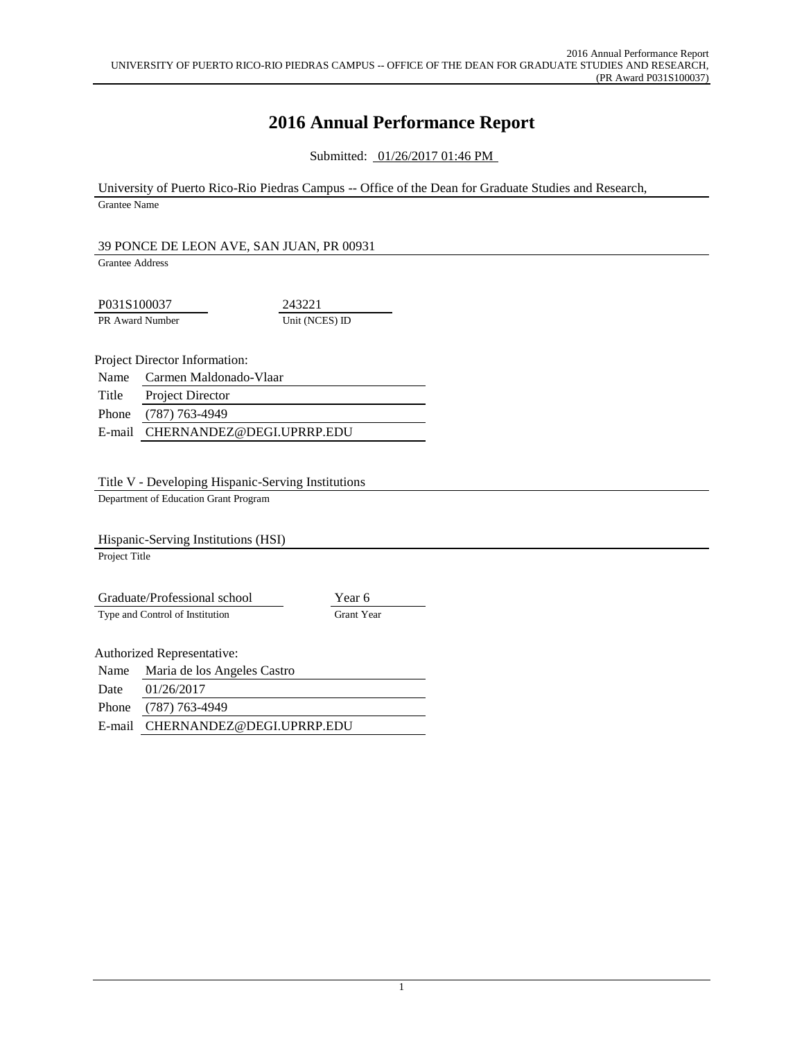# **2016 Annual Performance Report**

Submitted: 01/26/2017 01:46 PM

University of Puerto Rico-Rio Piedras Campus -- Office of the Dean for Graduate Studies and Research, Grantee Name

#### 39 PONCE DE LEON AVE, SAN JUAN, PR 00931

Grantee Address

P031S100037 243221 PR Award Number Unit (NCES) ID

Project Director Information:

|       | Name Carmen Maldonado-Vlaar |
|-------|-----------------------------|
| Title | <b>Project Director</b>     |
|       | Phone (787) 763-4949        |

E-mail CHERNANDEZ@DEGI.UPRRP.EDU

### Title V - Developing Hispanic-Serving Institutions

Department of Education Grant Program

Hispanic-Serving Institutions (HSI) Project Title

Graduate/Professional school Year 6 Type and Control of Institution Grant Year

Authorized Representative:

| Name | Maria de los Angeles Castro      |
|------|----------------------------------|
| Date | 01/26/2017                       |
|      | Phone (787) 763-4949             |
|      | E-mail CHERNANDEZ@DEGI.UPRRP.EDU |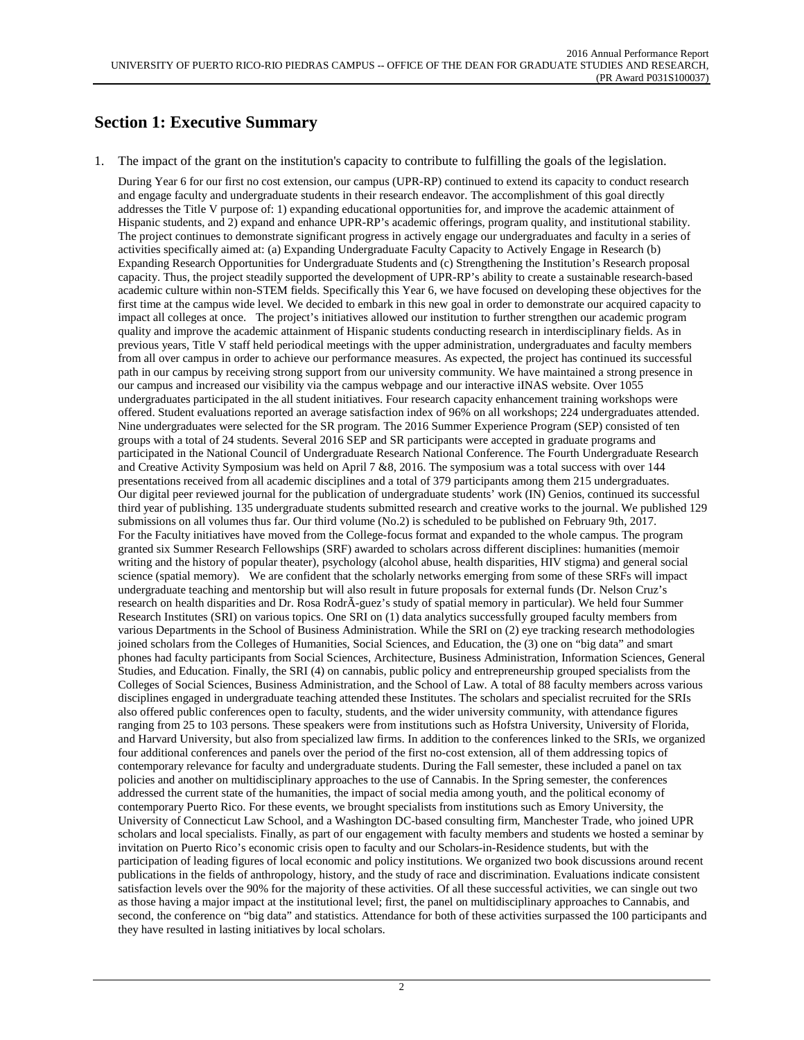## **Section 1: Executive Summary**

1. The impact of the grant on the institution's capacity to contribute to fulfilling the goals of the legislation.

During Year 6 for our first no cost extension, our campus (UPR-RP) continued to extend its capacity to conduct research and engage faculty and undergraduate students in their research endeavor. The accomplishment of this goal directly addresses the Title V purpose of: 1) expanding educational opportunities for, and improve the academic attainment of Hispanic students, and 2) expand and enhance UPR-RP's academic offerings, program quality, and institutional stability. The project continues to demonstrate significant progress in actively engage our undergraduates and faculty in a series of activities specifically aimed at: (a) Expanding Undergraduate Faculty Capacity to Actively Engage in Research (b) Expanding Research Opportunities for Undergraduate Students and (c) Strengthening the Institution's Research proposal capacity. Thus, the project steadily supported the development of UPR-RP's ability to create a sustainable research-based academic culture within non-STEM fields. Specifically this Year 6, we have focused on developing these objectives for the first time at the campus wide level. We decided to embark in this new goal in order to demonstrate our acquired capacity to impact all colleges at once. The project's initiatives allowed our institution to further strengthen our academic program quality and improve the academic attainment of Hispanic students conducting research in interdisciplinary fields. As in previous years, Title V staff held periodical meetings with the upper administration, undergraduates and faculty members from all over campus in order to achieve our performance measures. As expected, the project has continued its successful path in our campus by receiving strong support from our university community. We have maintained a strong presence in our campus and increased our visibility via the campus webpage and our interactive iINAS website. Over 1055 undergraduates participated in the all student initiatives. Four research capacity enhancement training workshops were offered. Student evaluations reported an average satisfaction index of 96% on all workshops; 224 undergraduates attended. Nine undergraduates were selected for the SR program. The 2016 Summer Experience Program (SEP) consisted of ten groups with a total of 24 students. Several 2016 SEP and SR participants were accepted in graduate programs and participated in the National Council of Undergraduate Research National Conference. The Fourth Undergraduate Research and Creative Activity Symposium was held on April 7 &8, 2016. The symposium was a total success with over 144 presentations received from all academic disciplines and a total of 379 participants among them 215 undergraduates. Our digital peer reviewed journal for the publication of undergraduate students' work (IN) Genios, continued its successful third year of publishing. 135 undergraduate students submitted research and creative works to the journal. We published 129 submissions on all volumes thus far. Our third volume (No.2) is scheduled to be published on February 9th, 2017. For the Faculty initiatives have moved from the College-focus format and expanded to the whole campus. The program granted six Summer Research Fellowships (SRF) awarded to scholars across different disciplines: humanities (memoir writing and the history of popular theater), psychology (alcohol abuse, health disparities, HIV stigma) and general social science (spatial memory). We are confident that the scholarly networks emerging from some of these SRFs will impact undergraduate teaching and mentorship but will also result in future proposals for external funds (Dr. Nelson Cruz's research on health disparities and Dr. Rosa RodrÃ-guez's study of spatial memory in particular). We held four Summer Research Institutes (SRI) on various topics. One SRI on (1) data analytics successfully grouped faculty members from various Departments in the School of Business Administration. While the SRI on (2) eye tracking research methodologies joined scholars from the Colleges of Humanities, Social Sciences, and Education, the (3) one on "big data" and smart phones had faculty participants from Social Sciences, Architecture, Business Administration, Information Sciences, General Studies, and Education. Finally, the SRI (4) on cannabis, public policy and entrepreneurship grouped specialists from the Colleges of Social Sciences, Business Administration, and the School of Law. A total of 88 faculty members across various disciplines engaged in undergraduate teaching attended these Institutes. The scholars and specialist recruited for the SRIs also offered public conferences open to faculty, students, and the wider university community, with attendance figures ranging from 25 to 103 persons. These speakers were from institutions such as Hofstra University, University of Florida, and Harvard University, but also from specialized law firms. In addition to the conferences linked to the SRIs, we organized four additional conferences and panels over the period of the first no-cost extension, all of them addressing topics of contemporary relevance for faculty and undergraduate students. During the Fall semester, these included a panel on tax policies and another on multidisciplinary approaches to the use of Cannabis. In the Spring semester, the conferences addressed the current state of the humanities, the impact of social media among youth, and the political economy of contemporary Puerto Rico. For these events, we brought specialists from institutions such as Emory University, the University of Connecticut Law School, and a Washington DC-based consulting firm, Manchester Trade, who joined UPR scholars and local specialists. Finally, as part of our engagement with faculty members and students we hosted a seminar by invitation on Puerto Rico's economic crisis open to faculty and our Scholars-in-Residence students, but with the participation of leading figures of local economic and policy institutions. We organized two book discussions around recent publications in the fields of anthropology, history, and the study of race and discrimination. Evaluations indicate consistent satisfaction levels over the 90% for the majority of these activities. Of all these successful activities, we can single out two as those having a major impact at the institutional level; first, the panel on multidisciplinary approaches to Cannabis, and second, the conference on "big data" and statistics. Attendance for both of these activities surpassed the 100 participants and they have resulted in lasting initiatives by local scholars.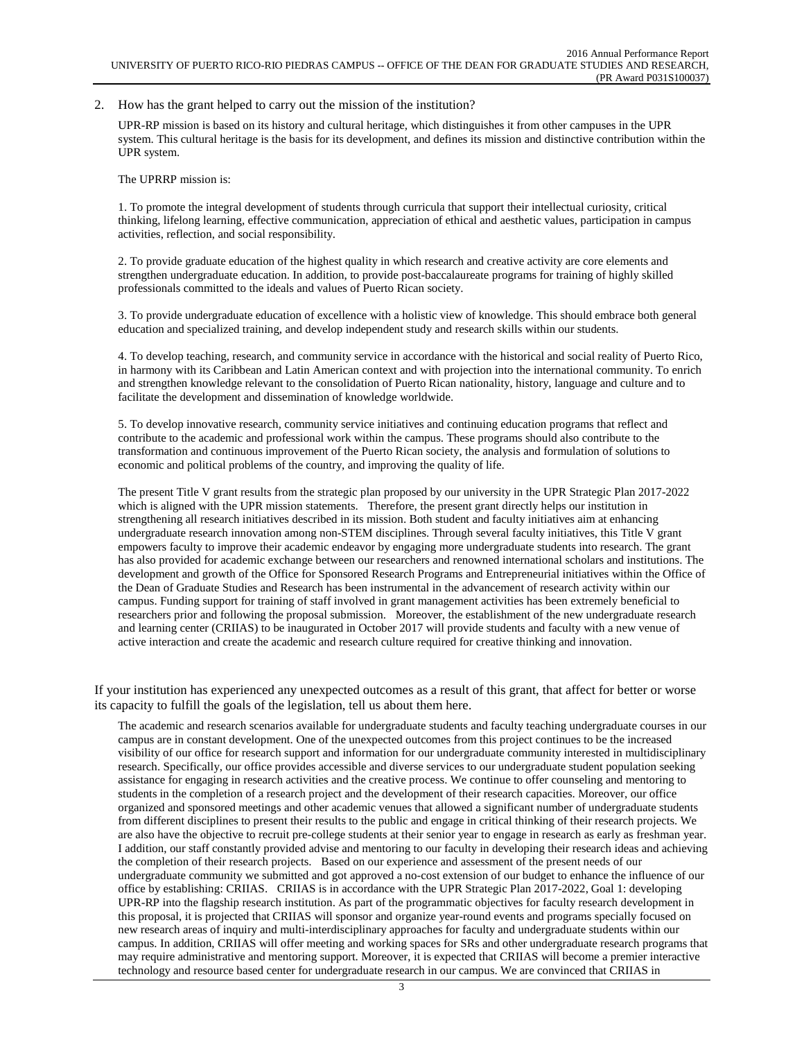#### 2. How has the grant helped to carry out the mission of the institution?

UPR-RP mission is based on its history and cultural heritage, which distinguishes it from other campuses in the UPR system. This cultural heritage is the basis for its development, and defines its mission and distinctive contribution within the UPR system.

The UPRRP mission is:

1. To promote the integral development of students through curricula that support their intellectual curiosity, critical thinking, lifelong learning, effective communication, appreciation of ethical and aesthetic values, participation in campus activities, reflection, and social responsibility.

2. To provide graduate education of the highest quality in which research and creative activity are core elements and strengthen undergraduate education. In addition, to provide post-baccalaureate programs for training of highly skilled professionals committed to the ideals and values of Puerto Rican society.

3. To provide undergraduate education of excellence with a holistic view of knowledge. This should embrace both general education and specialized training, and develop independent study and research skills within our students.

4. To develop teaching, research, and community service in accordance with the historical and social reality of Puerto Rico, in harmony with its Caribbean and Latin American context and with projection into the international community. To enrich and strengthen knowledge relevant to the consolidation of Puerto Rican nationality, history, language and culture and to facilitate the development and dissemination of knowledge worldwide.

5. To develop innovative research, community service initiatives and continuing education programs that reflect and contribute to the academic and professional work within the campus. These programs should also contribute to the transformation and continuous improvement of the Puerto Rican society, the analysis and formulation of solutions to economic and political problems of the country, and improving the quality of life.

The present Title V grant results from the strategic plan proposed by our university in the UPR Strategic Plan 2017-2022 which is aligned with the UPR mission statements. Therefore, the present grant directly helps our institution in strengthening all research initiatives described in its mission. Both student and faculty initiatives aim at enhancing undergraduate research innovation among non-STEM disciplines. Through several faculty initiatives, this Title V grant empowers faculty to improve their academic endeavor by engaging more undergraduate students into research. The grant has also provided for academic exchange between our researchers and renowned international scholars and institutions. The development and growth of the Office for Sponsored Research Programs and Entrepreneurial initiatives within the Office of the Dean of Graduate Studies and Research has been instrumental in the advancement of research activity within our campus. Funding support for training of staff involved in grant management activities has been extremely beneficial to researchers prior and following the proposal submission. Moreover, the establishment of the new undergraduate research and learning center (CRIIAS) to be inaugurated in October 2017 will provide students and faculty with a new venue of active interaction and create the academic and research culture required for creative thinking and innovation.

If your institution has experienced any unexpected outcomes as a result of this grant, that affect for better or worse its capacity to fulfill the goals of the legislation, tell us about them here.

The academic and research scenarios available for undergraduate students and faculty teaching undergraduate courses in our campus are in constant development. One of the unexpected outcomes from this project continues to be the increased visibility of our office for research support and information for our undergraduate community interested in multidisciplinary research. Specifically, our office provides accessible and diverse services to our undergraduate student population seeking assistance for engaging in research activities and the creative process. We continue to offer counseling and mentoring to students in the completion of a research project and the development of their research capacities. Moreover, our office organized and sponsored meetings and other academic venues that allowed a significant number of undergraduate students from different disciplines to present their results to the public and engage in critical thinking of their research projects. We are also have the objective to recruit pre-college students at their senior year to engage in research as early as freshman year. I addition, our staff constantly provided advise and mentoring to our faculty in developing their research ideas and achieving the completion of their research projects. Based on our experience and assessment of the present needs of our undergraduate community we submitted and got approved a no-cost extension of our budget to enhance the influence of our office by establishing: CRIIAS. CRIIAS is in accordance with the UPR Strategic Plan 2017-2022, Goal 1: developing UPR-RP into the flagship research institution. As part of the programmatic objectives for faculty research development in this proposal, it is projected that CRIIAS will sponsor and organize year-round events and programs specially focused on new research areas of inquiry and multi-interdisciplinary approaches for faculty and undergraduate students within our campus. In addition, CRIIAS will offer meeting and working spaces for SRs and other undergraduate research programs that may require administrative and mentoring support. Moreover, it is expected that CRIIAS will become a premier interactive technology and resource based center for undergraduate research in our campus. We are convinced that CRIIAS in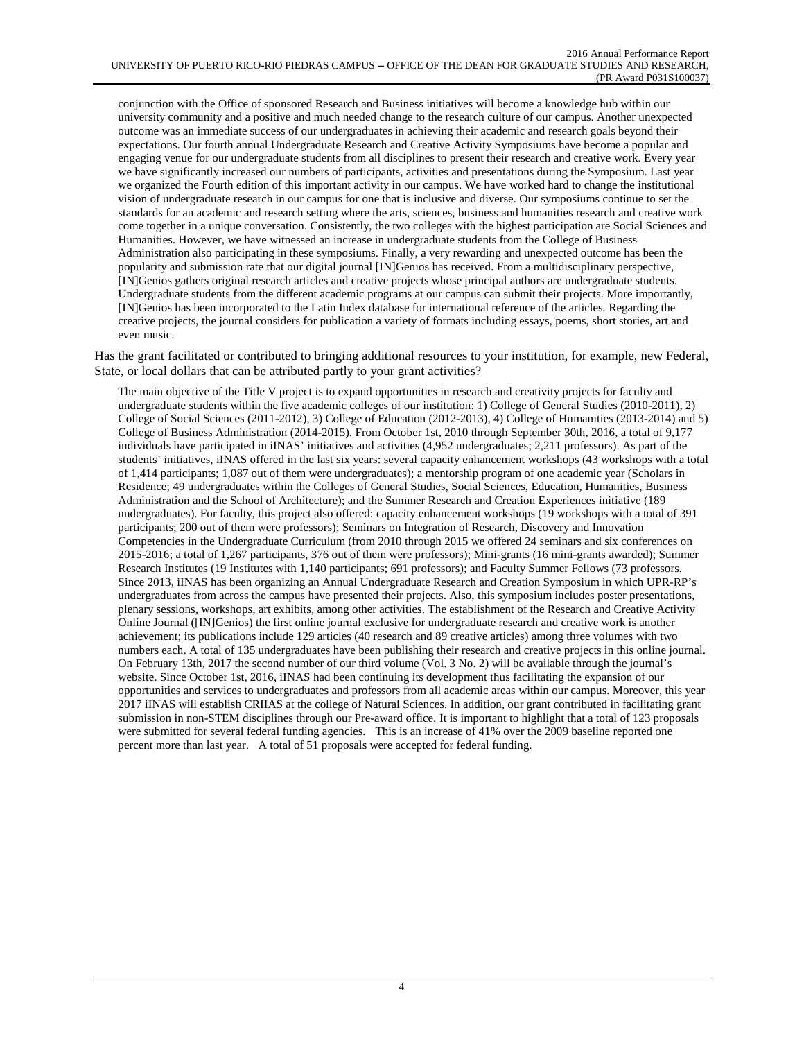conjunction with the Office of sponsored Research and Business initiatives will become a knowledge hub within our university community and a positive and much needed change to the research culture of our campus. Another unexpected outcome was an immediate success of our undergraduates in achieving their academic and research goals beyond their expectations. Our fourth annual Undergraduate Research and Creative Activity Symposiums have become a popular and engaging venue for our undergraduate students from all disciplines to present their research and creative work. Every year we have significantly increased our numbers of participants, activities and presentations during the Symposium. Last year we organized the Fourth edition of this important activity in our campus. We have worked hard to change the institutional vision of undergraduate research in our campus for one that is inclusive and diverse. Our symposiums continue to set the standards for an academic and research setting where the arts, sciences, business and humanities research and creative work come together in a unique conversation. Consistently, the two colleges with the highest participation are Social Sciences and Humanities. However, we have witnessed an increase in undergraduate students from the College of Business Administration also participating in these symposiums. Finally, a very rewarding and unexpected outcome has been the popularity and submission rate that our digital journal [IN]Genios has received. From a multidisciplinary perspective, [IN]Genios gathers original research articles and creative projects whose principal authors are undergraduate students. Undergraduate students from the different academic programs at our campus can submit their projects. More importantly, [IN]Genios has been incorporated to the Latin Index database for international reference of the articles. Regarding the creative projects, the journal considers for publication a variety of formats including essays, poems, short stories, art and even music.

Has the grant facilitated or contributed to bringing additional resources to your institution, for example, new Federal, State, or local dollars that can be attributed partly to your grant activities?

The main objective of the Title V project is to expand opportunities in research and creativity projects for faculty and undergraduate students within the five academic colleges of our institution: 1) College of General Studies (2010-2011), 2) College of Social Sciences (2011-2012), 3) College of Education (2012-2013), 4) College of Humanities (2013-2014) and 5) College of Business Administration (2014-2015). From October 1st, 2010 through September 30th, 2016, a total of 9,177 individuals have participated in iINAS' initiatives and activities (4,952 undergraduates; 2,211 professors). As part of the students' initiatives, iINAS offered in the last six years: several capacity enhancement workshops (43 workshops with a total of 1,414 participants; 1,087 out of them were undergraduates); a mentorship program of one academic year (Scholars in Residence; 49 undergraduates within the Colleges of General Studies, Social Sciences, Education, Humanities, Business Administration and the School of Architecture); and the Summer Research and Creation Experiences initiative (189 undergraduates). For faculty, this project also offered: capacity enhancement workshops (19 workshops with a total of 391 participants; 200 out of them were professors); Seminars on Integration of Research, Discovery and Innovation Competencies in the Undergraduate Curriculum (from 2010 through 2015 we offered 24 seminars and six conferences on 2015-2016; a total of 1,267 participants, 376 out of them were professors); Mini-grants (16 mini-grants awarded); Summer Research Institutes (19 Institutes with 1,140 participants; 691 professors); and Faculty Summer Fellows (73 professors. Since 2013, iINAS has been organizing an Annual Undergraduate Research and Creation Symposium in which UPR-RP's undergraduates from across the campus have presented their projects. Also, this symposium includes poster presentations, plenary sessions, workshops, art exhibits, among other activities. The establishment of the Research and Creative Activity Online Journal ([IN]Genios) the first online journal exclusive for undergraduate research and creative work is another achievement; its publications include 129 articles (40 research and 89 creative articles) among three volumes with two numbers each. A total of 135 undergraduates have been publishing their research and creative projects in this online journal. On February 13th, 2017 the second number of our third volume (Vol. 3 No. 2) will be available through the journal's website. Since October 1st, 2016, iINAS had been continuing its development thus facilitating the expansion of our opportunities and services to undergraduates and professors from all academic areas within our campus. Moreover, this year 2017 iINAS will establish CRIIAS at the college of Natural Sciences. In addition, our grant contributed in facilitating grant submission in non-STEM disciplines through our Pre-award office. It is important to highlight that a total of 123 proposals were submitted for several federal funding agencies. This is an increase of 41% over the 2009 baseline reported one percent more than last year. A total of 51 proposals were accepted for federal funding.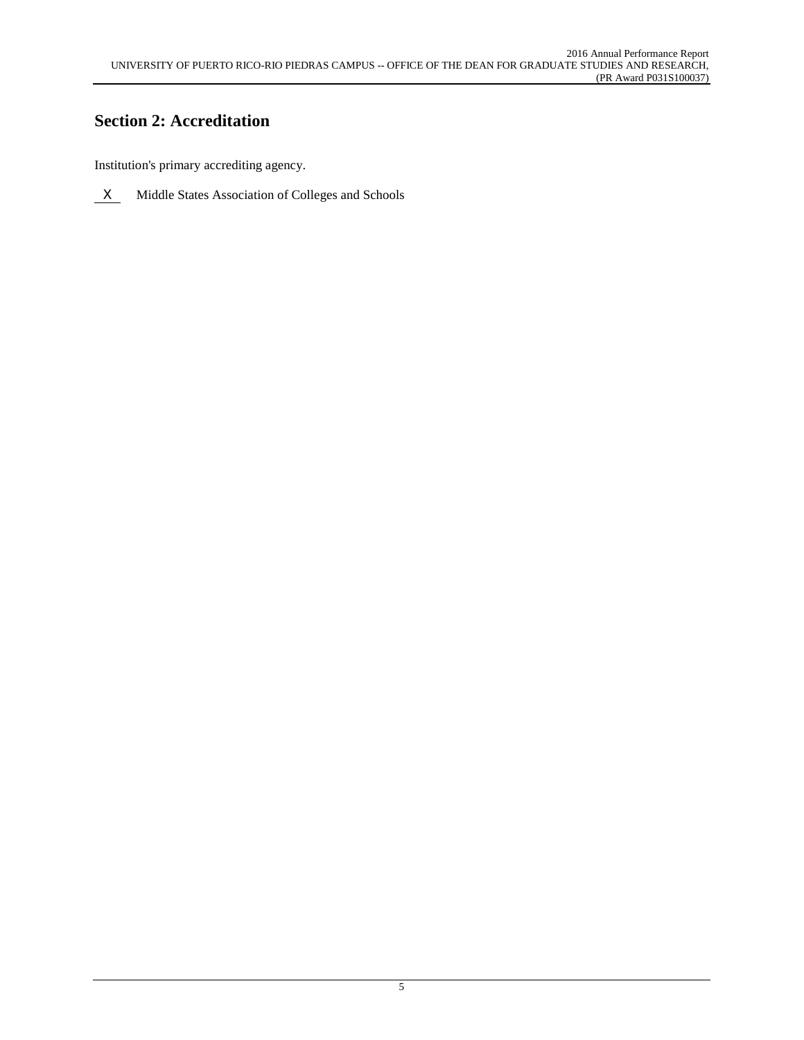# **Section 2: Accreditation**

Institution's primary accrediting agency.

 $X$  Middle States Association of Colleges and Schools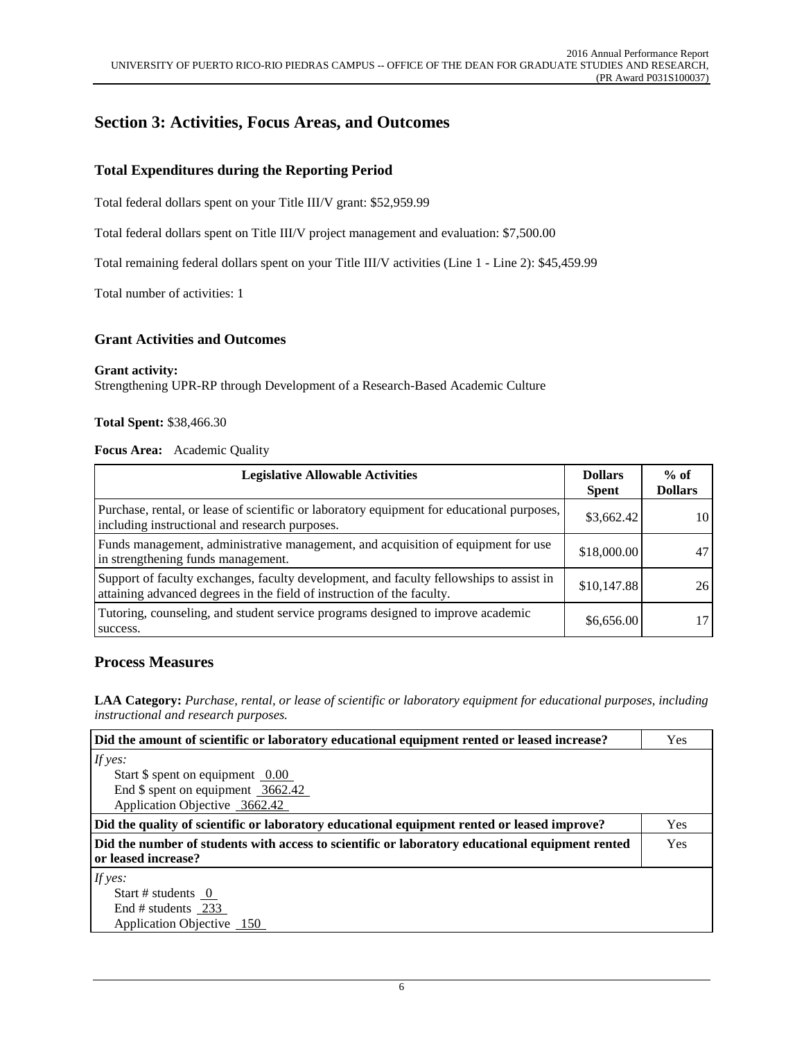## **Section 3: Activities, Focus Areas, and Outcomes**

## **Total Expenditures during the Reporting Period**

Total federal dollars spent on your Title III/V grant: \$52,959.99

Total federal dollars spent on Title III/V project management and evaluation: \$7,500.00

Total remaining federal dollars spent on your Title III/V activities (Line 1 - Line 2): \$45,459.99

Total number of activities: 1

### **Grant Activities and Outcomes**

#### **Grant activity:**

Strengthening UPR-RP through Development of a Research-Based Academic Culture

#### **Total Spent:** \$38,466.30

#### **Focus Area:** Academic Quality

| <b>Legislative Allowable Activities</b>                                                                                                                           | <b>Dollars</b><br><b>Spent</b> | $%$ of<br><b>Dollars</b> |
|-------------------------------------------------------------------------------------------------------------------------------------------------------------------|--------------------------------|--------------------------|
| Purchase, rental, or lease of scientific or laboratory equipment for educational purposes,<br>including instructional and research purposes.                      | \$3,662.42                     | 10                       |
| Funds management, administrative management, and acquisition of equipment for use<br>in strengthening funds management.                                           | \$18,000.00                    |                          |
| Support of faculty exchanges, faculty development, and faculty fellowships to assist in<br>attaining advanced degrees in the field of instruction of the faculty. | \$10,147.88                    | 26                       |
| Tutoring, counseling, and student service programs designed to improve academic<br>success.                                                                       | \$6,656.00                     |                          |

#### **Process Measures**

**LAA Category:** *Purchase, rental, or lease of scientific or laboratory equipment for educational purposes, including instructional and research purposes.*

| Did the amount of scientific or laboratory educational equipment rented or leased increase?                            | Yes        |
|------------------------------------------------------------------------------------------------------------------------|------------|
| If yes:                                                                                                                |            |
| Start $\frac{1}{2}$ spent on equipment 0.00                                                                            |            |
| End $\$$ spent on equipment 3662.42                                                                                    |            |
| Application Objective 3662.42                                                                                          |            |
| Did the quality of scientific or laboratory educational equipment rented or leased improve?                            | <b>Yes</b> |
| Did the number of students with access to scientific or laboratory educational equipment rented<br>or leased increase? | Yes        |
| If $yes:$                                                                                                              |            |
| Start # students $\overline{0}$                                                                                        |            |
| End # students 233                                                                                                     |            |
| Application Objective 150                                                                                              |            |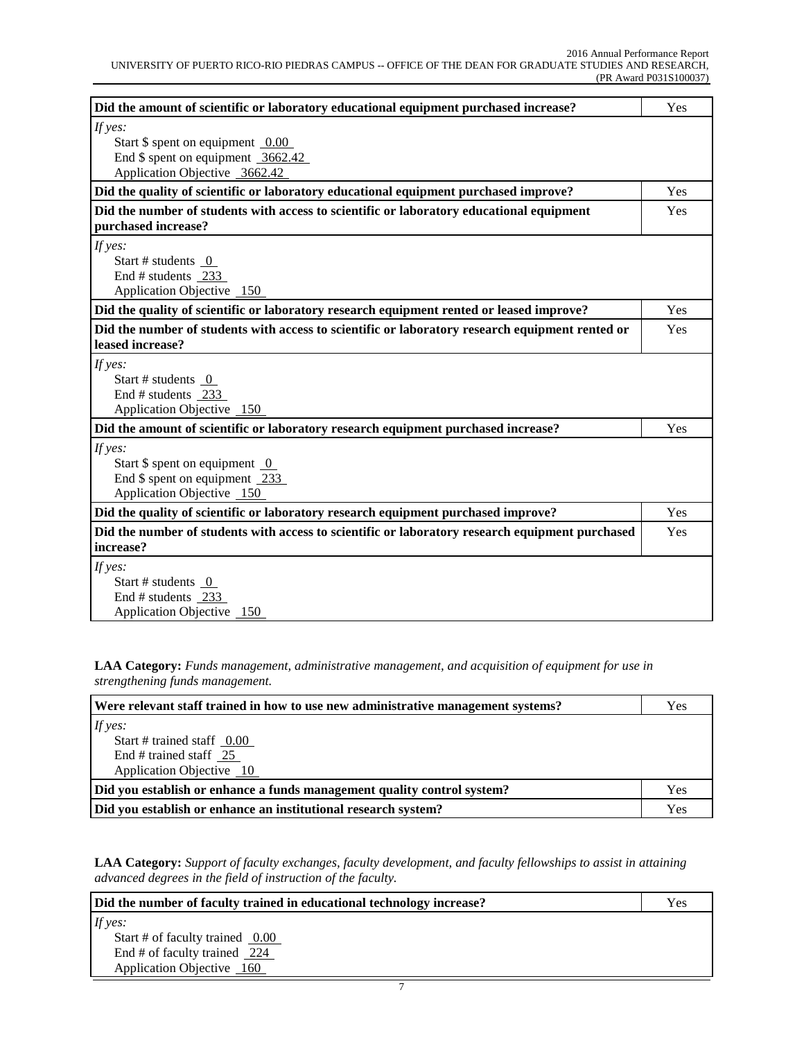| Did the amount of scientific or laboratory educational equipment purchased increase?                                  | Yes |
|-----------------------------------------------------------------------------------------------------------------------|-----|
| If yes:<br>Start $\$$ spent on equipment 0.00<br>End $\$$ spent on equipment 3662.42<br>Application Objective 3662.42 |     |
| Did the quality of scientific or laboratory educational equipment purchased improve?                                  | Yes |
| Did the number of students with access to scientific or laboratory educational equipment<br>purchased increase?       | Yes |
| If yes:<br>Start # students $0$<br>End # students 233<br>Application Objective 150                                    |     |
| Did the quality of scientific or laboratory research equipment rented or leased improve?                              | Yes |
| Did the number of students with access to scientific or laboratory research equipment rented or<br>leased increase?   | Yes |
| If yes:<br>Start # students $\overline{0}$<br>End # students $233$<br>Application Objective 150                       |     |
| Did the amount of scientific or laboratory research equipment purchased increase?                                     | Yes |
| If yes:<br>Start $\$$ spent on equipment $\_0$<br>End $$$ spent on equipment 233<br>Application Objective 150         |     |
| Did the quality of scientific or laboratory research equipment purchased improve?                                     | Yes |
| Did the number of students with access to scientific or laboratory research equipment purchased<br>increase?          | Yes |
| If yes:<br>Start # students 0<br>End # students 233<br>Application Objective 150                                      |     |

**LAA Category:** *Funds management, administrative management, and acquisition of equipment for use in strengthening funds management.*

| Were relevant staff trained in how to use new administrative management systems? |  |
|----------------------------------------------------------------------------------|--|
| If yes:                                                                          |  |
| Start # trained staff $0.00$                                                     |  |
| End # trained staff $25$                                                         |  |
| Application Objective 10                                                         |  |
| Did you establish or enhance a funds management quality control system?<br>Yes   |  |
| Did you establish or enhance an institutional research system?                   |  |

**LAA Category:** *Support of faculty exchanges, faculty development, and faculty fellowships to assist in attaining advanced degrees in the field of instruction of the faculty.*

| Did the number of faculty trained in educational technology increase? |  |
|-----------------------------------------------------------------------|--|
| If yes:                                                               |  |
| Start # of faculty trained $\sqrt{0.00}$                              |  |
| End # of faculty trained $\sqrt{224}$                                 |  |
| Application Objective 160                                             |  |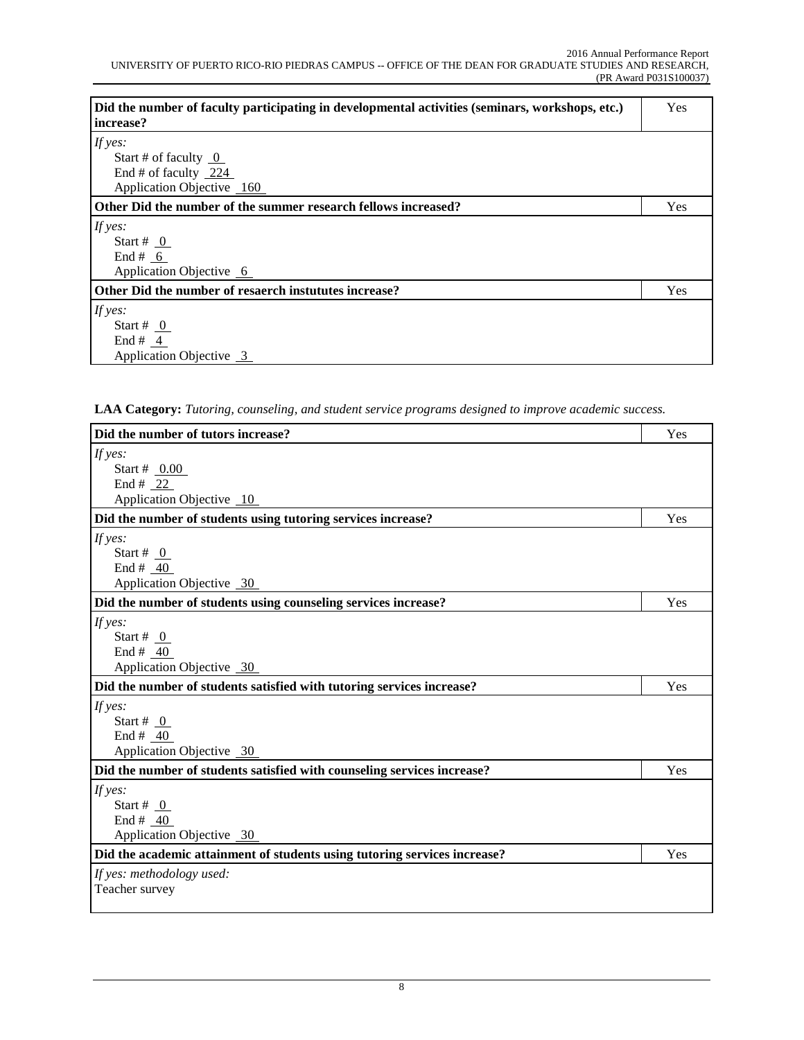| Did the number of faculty participating in developmental activities (seminars, workshops, etc.)<br>  increase? | Yes |
|----------------------------------------------------------------------------------------------------------------|-----|
| If yes:                                                                                                        |     |
| Start # of faculty $0$                                                                                         |     |
| End # of faculty $224$                                                                                         |     |
| Application Objective 160                                                                                      |     |
| Other Did the number of the summer research fellows increased?                                                 | Yes |
| If $yes:$                                                                                                      |     |
| Start # $_0$                                                                                                   |     |
| End # $6$                                                                                                      |     |
| Application Objective 6                                                                                        |     |
| Other Did the number of resaerch instututes increase?                                                          | Yes |
| If yes:                                                                                                        |     |
| Start # $\sqrt{0}$                                                                                             |     |
| End # $4$                                                                                                      |     |
| Application Objective 3                                                                                        |     |

**LAA Category:** *Tutoring, counseling, and student service programs designed to improve academic success.*

| Did the number of tutors increase?                                        | Yes |
|---------------------------------------------------------------------------|-----|
| If yes:                                                                   |     |
| Start # $0.00$                                                            |     |
| End # 22                                                                  |     |
| Application Objective 10                                                  |     |
| Did the number of students using tutoring services increase?              | Yes |
| If yes:                                                                   |     |
| Start # $_0$                                                              |     |
| End # $40$                                                                |     |
| Application Objective 30                                                  |     |
| Did the number of students using counseling services increase?            | Yes |
| If yes:                                                                   |     |
| Start # $\theta$                                                          |     |
| End # $40$                                                                |     |
| Application Objective 30                                                  |     |
| Did the number of students satisfied with tutoring services increase?     | Yes |
| If yes:                                                                   |     |
| Start # $_0$                                                              |     |
| End # $40$                                                                |     |
| Application Objective 30                                                  |     |
| Did the number of students satisfied with counseling services increase?   | Yes |
| If yes:                                                                   |     |
| Start # $_0$                                                              |     |
| End # $40$                                                                |     |
| Application Objective 30                                                  |     |
| Did the academic attainment of students using tutoring services increase? | Yes |
| If yes: methodology used:                                                 |     |
| Teacher survey                                                            |     |
|                                                                           |     |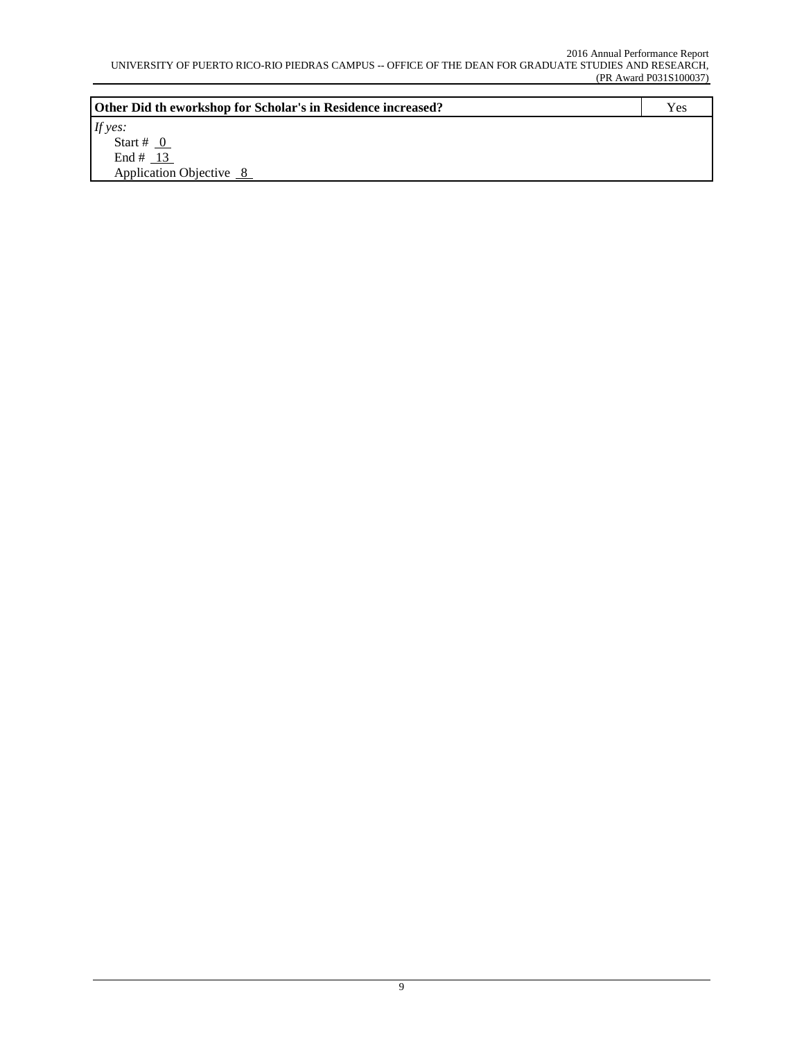| Other Did th eworkshop for Scholar's in Residence increased? | Yes |
|--------------------------------------------------------------|-----|
| If yes:                                                      |     |
| Start # $0$                                                  |     |
| End # $13$                                                   |     |
| Application Objective 8                                      |     |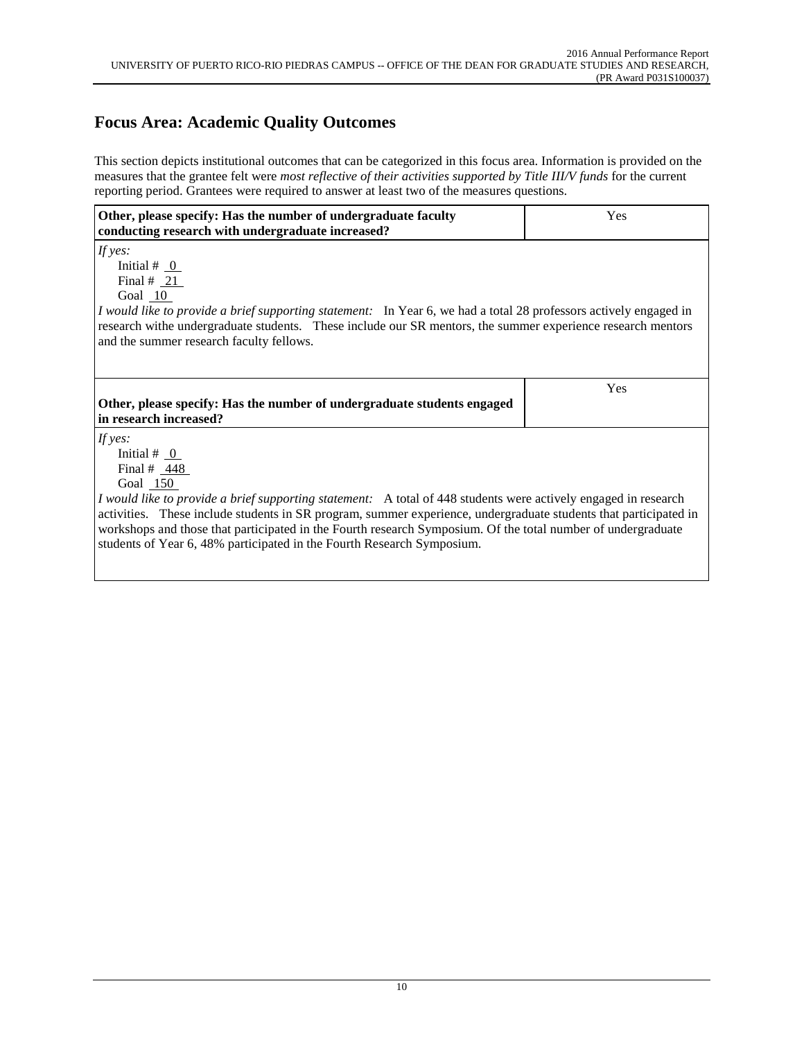# **Focus Area: Academic Quality Outcomes**

This section depicts institutional outcomes that can be categorized in this focus area. Information is provided on the measures that the grantee felt were *most reflective of their activities supported by Title III/V funds* for the current reporting period. Grantees were required to answer at least two of the measures questions.

| Other, please specify: Has the number of undergraduate faculty<br>conducting research with undergraduate increased?                                                                                                                                                                                                                                                                                                                                                                              | Yes |
|--------------------------------------------------------------------------------------------------------------------------------------------------------------------------------------------------------------------------------------------------------------------------------------------------------------------------------------------------------------------------------------------------------------------------------------------------------------------------------------------------|-----|
| If yes:<br>Initial # $_0$<br>Final # $21$<br>Goal 10<br><i>I would like to provide a brief supporting statement:</i> In Year 6, we had a total 28 professors actively engaged in<br>research withe undergraduate students. These include our SR mentors, the summer experience research mentors<br>and the summer research faculty fellows.                                                                                                                                                      |     |
| Other, please specify: Has the number of undergraduate students engaged<br>in research increased?                                                                                                                                                                                                                                                                                                                                                                                                | Yes |
| If $yes:$<br>Initial # $_0$<br>Final # $448$<br>Goal 150<br><i>I would like to provide a brief supporting statement:</i> A total of 448 students were actively engaged in research<br>activities. These include students in SR program, summer experience, undergraduate students that participated in<br>workshops and those that participated in the Fourth research Symposium. Of the total number of undergraduate<br>students of Year 6, 48% participated in the Fourth Research Symposium. |     |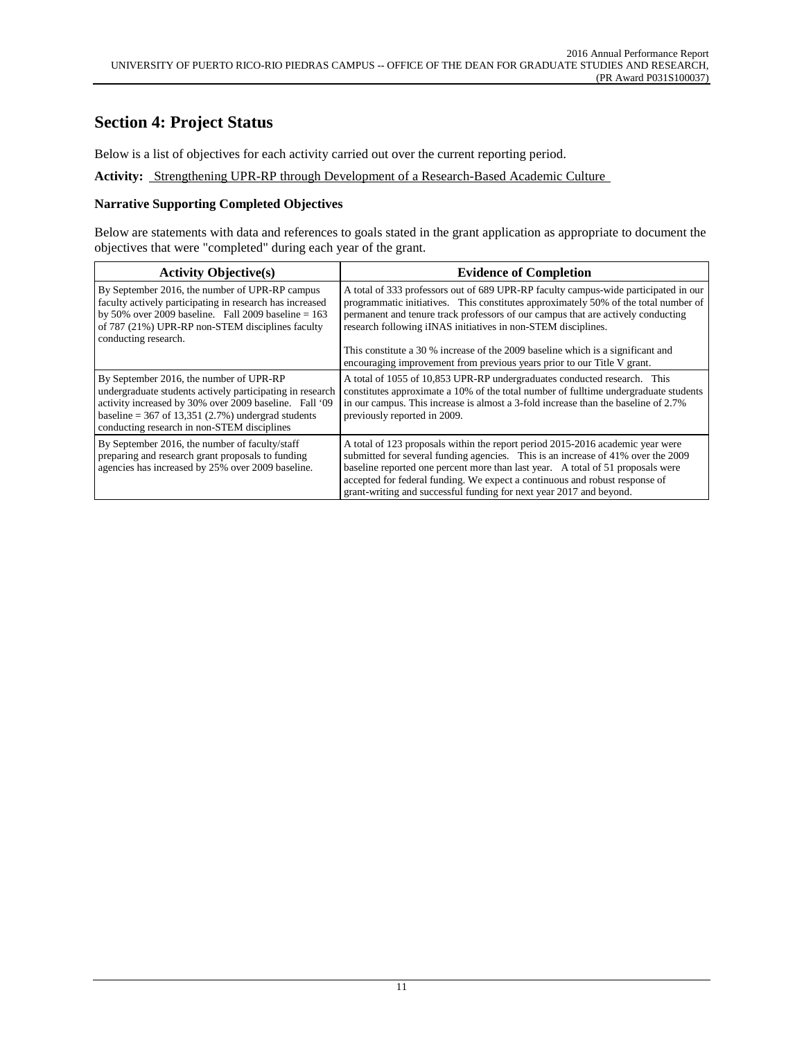# **Section 4: Project Status**

Below is a list of objectives for each activity carried out over the current reporting period.

**Activity:** Strengthening UPR-RP through Development of a Research-Based Academic Culture

### **Narrative Supporting Completed Objectives**

Below are statements with data and references to goals stated in the grant application as appropriate to document the objectives that were "completed" during each year of the grant.

| <b>Activity Objective(s)</b>                                                                                                                                                                                                                                          | <b>Evidence of Completion</b>                                                                                                                                                                                                                                                                                                                                                                               |
|-----------------------------------------------------------------------------------------------------------------------------------------------------------------------------------------------------------------------------------------------------------------------|-------------------------------------------------------------------------------------------------------------------------------------------------------------------------------------------------------------------------------------------------------------------------------------------------------------------------------------------------------------------------------------------------------------|
| By September 2016, the number of UPR-RP campus<br>faculty actively participating in research has increased<br>by 50% over 2009 baseline. Fall 2009 baseline = $163$<br>of 787 (21%) UPR-RP non-STEM disciplines faculty<br>conducting research.                       | A total of 333 professors out of 689 UPR-RP faculty campus-wide participated in our<br>programmatic initiatives. This constitutes approximately 50% of the total number of<br>permanent and tenure track professors of our campus that are actively conducting<br>research following iINAS initiatives in non-STEM disciplines.                                                                             |
|                                                                                                                                                                                                                                                                       | This constitute a 30 % increase of the 2009 baseline which is a significant and<br>encouraging improvement from previous years prior to our Title V grant.                                                                                                                                                                                                                                                  |
| By September 2016, the number of UPR-RP<br>undergraduate students actively participating in research<br>activity increased by 30% over 2009 baseline. Fall '09<br>baseline = $367$ of 13,351 (2.7%) undergrad students<br>conducting research in non-STEM disciplines | A total of 1055 of 10,853 UPR-RP undergraduates conducted research. This<br>constitutes approximate a 10% of the total number of fulltime undergraduate students<br>in our campus. This increase is almost a 3-fold increase than the baseline of 2.7%<br>previously reported in 2009.                                                                                                                      |
| By September 2016, the number of faculty/staff<br>preparing and research grant proposals to funding<br>agencies has increased by 25% over 2009 baseline.                                                                                                              | A total of 123 proposals within the report period 2015-2016 academic year were<br>submitted for several funding agencies. This is an increase of 41% over the 2009<br>baseline reported one percent more than last year. A total of 51 proposals were<br>accepted for federal funding. We expect a continuous and robust response of<br>grant-writing and successful funding for next year 2017 and beyond. |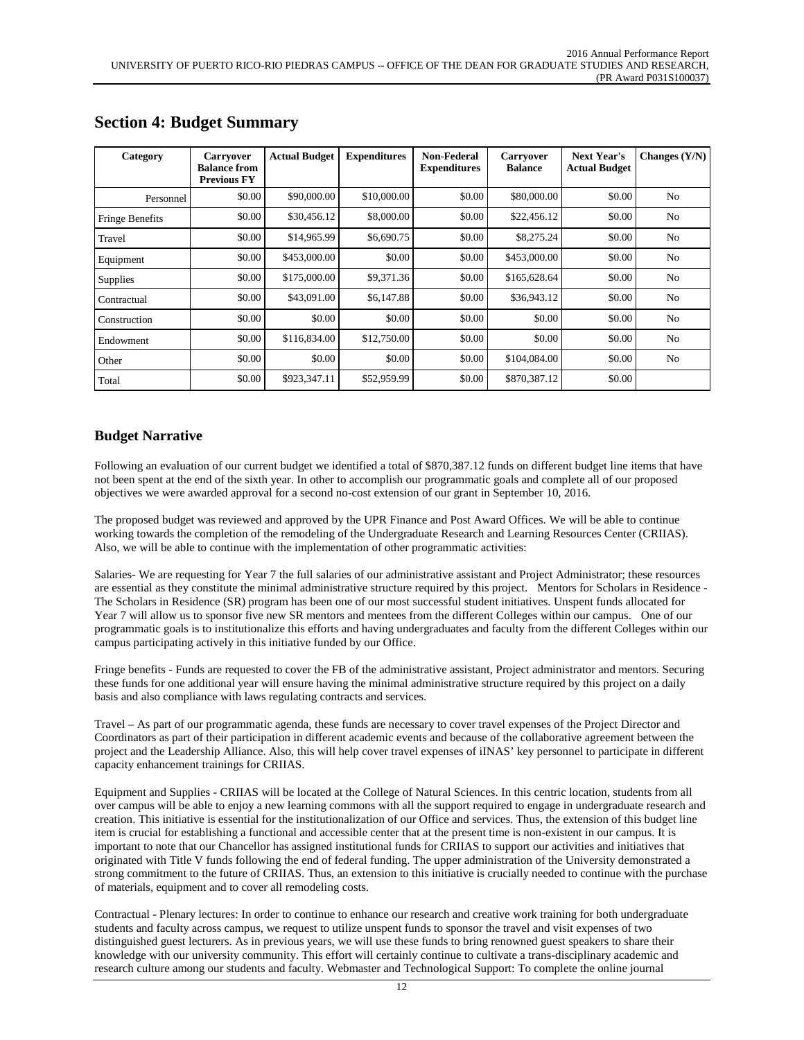| Category        | <b>Carryover</b><br><b>Balance from</b><br><b>Previous FY</b> | <b>Actual Budget</b> | <b>Expenditures</b> | Non-Federal<br><b>Expenditures</b> | <b>Carryover</b><br><b>Balance</b> | <b>Next Year's</b><br><b>Actual Budget</b> | Changes $(Y/N)$ |
|-----------------|---------------------------------------------------------------|----------------------|---------------------|------------------------------------|------------------------------------|--------------------------------------------|-----------------|
| Personnel       | \$0.00                                                        | \$90,000.00          | \$10,000.00         | \$0.00                             | \$80,000.00                        | \$0.00                                     | N <sub>0</sub>  |
| Fringe Benefits | \$0.00                                                        | \$30,456.12          | \$8,000.00          | \$0.00                             | \$22,456.12                        | \$0.00                                     | No              |
| Travel          | \$0.00                                                        | \$14,965.99          | \$6,690.75          | \$0.00                             | \$8,275.24                         | \$0.00                                     | No              |
| Equipment       | \$0.00                                                        | \$453,000.00         | \$0.00              | \$0.00                             | \$453,000.00                       | \$0.00                                     | N <sub>0</sub>  |
| <b>Supplies</b> | \$0.00                                                        | \$175,000.00         | \$9,371.36          | \$0.00                             | \$165,628.64                       | \$0.00                                     | N <sub>o</sub>  |
| Contractual     | \$0.00                                                        | \$43,091.00          | \$6,147.88          | \$0.00                             | \$36,943.12                        | \$0.00                                     | N <sub>0</sub>  |
| Construction    | \$0.00                                                        | \$0.00               | \$0.00              | \$0.00                             | \$0.00                             | \$0.00                                     | N <sub>o</sub>  |
| Endowment       | \$0.00                                                        | \$116,834.00         | \$12,750.00         | \$0.00                             | \$0.00                             | \$0.00                                     | N <sub>0</sub>  |
| Other           | \$0.00                                                        | \$0.00               | \$0.00              | \$0.00                             | \$104,084.00                       | \$0.00                                     | No              |
| Total           | \$0.00                                                        | \$923,347.11         | \$52,959.99         | \$0.00                             | \$870,387.12                       | \$0.00                                     |                 |

## **Section 4: Budget Summary**

## **Budget Narrative**

Following an evaluation of our current budget we identified a total of \$870,387.12 funds on different budget line items that have not been spent at the end of the sixth year. In other to accomplish our programmatic goals and complete all of our proposed objectives we were awarded approval for a second no-cost extension of our grant in September 10, 2016.

The proposed budget was reviewed and approved by the UPR Finance and Post Award Offices. We will be able to continue working towards the completion of the remodeling of the Undergraduate Research and Learning Resources Center (CRIIAS). Also, we will be able to continue with the implementation of other programmatic activities:

Salaries- We are requesting for Year 7 the full salaries of our administrative assistant and Project Administrator; these resources are essential as they constitute the minimal administrative structure required by this project. Mentors for Scholars in Residence - The Scholars in Residence (SR) program has been one of our most successful student initiatives. Unspent funds allocated for Year 7 will allow us to sponsor five new SR mentors and mentees from the different Colleges within our campus. One of our programmatic goals is to institutionalize this efforts and having undergraduates and faculty from the different Colleges within our campus participating actively in this initiative funded by our Office.

Fringe benefits - Funds are requested to cover the FB of the administrative assistant, Project administrator and mentors. Securing these funds for one additional year will ensure having the minimal administrative structure required by this project on a daily basis and also compliance with laws regulating contracts and services.

Travel – As part of our programmatic agenda, these funds are necessary to cover travel expenses of the Project Director and Coordinators as part of their participation in different academic events and because of the collaborative agreement between the project and the Leadership Alliance. Also, this will help cover travel expenses of iINAS' key personnel to participate in different capacity enhancement trainings for CRIIAS.

Equipment and Supplies - CRIIAS will be located at the College of Natural Sciences. In this centric location, students from all over campus will be able to enjoy a new learning commons with all the support required to engage in undergraduate research and creation. This initiative is essential for the institutionalization of our Office and services. Thus, the extension of this budget line item is crucial for establishing a functional and accessible center that at the present time is non-existent in our campus. It is important to note that our Chancellor has assigned institutional funds for CRIIAS to support our activities and initiatives that originated with Title V funds following the end of federal funding. The upper administration of the University demonstrated a strong commitment to the future of CRIIAS. Thus, an extension to this initiative is crucially needed to continue with the purchase of materials, equipment and to cover all remodeling costs.

Contractual - Plenary lectures: In order to continue to enhance our research and creative work training for both undergraduate students and faculty across campus, we request to utilize unspent funds to sponsor the travel and visit expenses of two distinguished guest lecturers. As in previous years, we will use these funds to bring renowned guest speakers to share their knowledge with our university community. This effort will certainly continue to cultivate a trans-disciplinary academic and research culture among our students and faculty. Webmaster and Technological Support: To complete the online journal